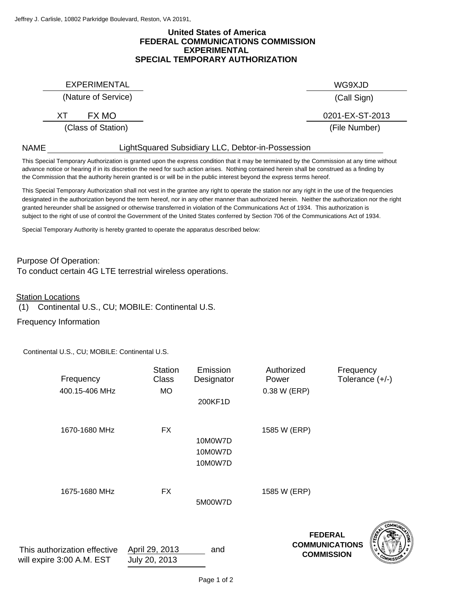## **FEDERAL COMMUNICATIONS COMMISSION United States of America EXPERIMENTAL SPECIAL TEMPORARY AUTHORIZATION**

EXPERIMENTAL WG9XJD

## (Nature of Service)

(Class of Station)

(Call Sign)

(File Number) XT FX MO 0201-EX-ST-2013

LightSquared Subsidiary LLC, Debtor-in-Possession

the Commission that the authority herein granted is or will be in the public interest beyond the express terms hereof. advance notice or hearing if in its discretion the need for such action arises. Nothing contained herein shall be construed as a finding by This Special Temporary Authorization is granted upon the express condition that it may be terminated by the Commission at any time without

designated in the authorization beyond the term hereof, nor in any other manner than authorized herein. Neither the authorization nor the right granted hereunder shall be assigned or otherwise transferred in violation of the Communications Act of 1934. This authorization is subject to the right of use of control the Government of the United States conferred by Section 706 of the Communications Act of 1934. This Special Temporary Authorization shall not vest in the grantee any right to operate the station nor any right in the use of the frequencies

Special Temporary Authority is hereby granted to operate the apparatus described below:

Purpose Of Operation: To conduct certain 4G LTE terrestrial wireless operations.

Station Locations

NAME

(1) Continental U.S., CU; MOBILE: Continental U.S.

Frequency Information

Continental U.S., CU; MOBILE: Continental U.S.

| Frequency<br>400.15-406 MHz                               | <b>Station</b><br>Class<br><b>MO</b> | Emission<br>Designator<br>200KF1D | Authorized<br>Power<br>0.38 W (ERP) | Frequency<br>Tolerance $(+/-)$                               |
|-----------------------------------------------------------|--------------------------------------|-----------------------------------|-------------------------------------|--------------------------------------------------------------|
| 1670-1680 MHz                                             | <b>FX</b>                            | 10M0W7D<br>10M0W7D<br>10M0W7D     | 1585 W (ERP)                        |                                                              |
| 1675-1680 MHz                                             | <b>FX</b>                            | 5M00W7D                           | 1585 W (ERP)                        |                                                              |
| This authorization effective<br>will expire 3:00 A.M. EST | April 29, 2013<br>July 20, 2013      | and                               |                                     | <b>FEDERAL</b><br><b>COMMUNICATIONS</b><br><b>COMMISSION</b> |